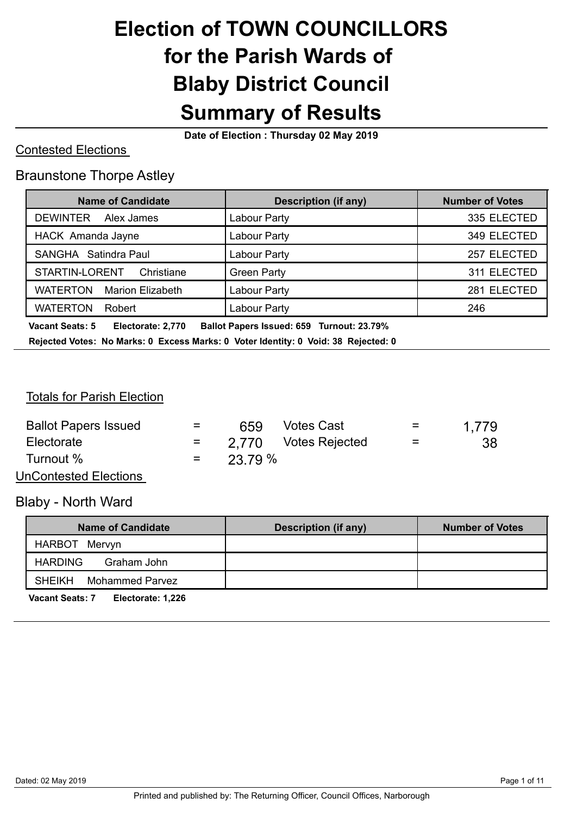# **Election of TOWN COUNCILLORS for the Parish Wards of Blaby District Council Summary of Results**

**Date of Election : Thursday 02 May 2019** 

#### Contested Elections

#### Braunstone Thorpe Astley

| <b>Name of Candidate</b>                   | <b>Description (if any)</b> | <b>Number of Votes</b> |
|--------------------------------------------|-----------------------------|------------------------|
| <b>DEWINTER</b><br>Alex James              | Labour Party                | 335 ELECTED            |
| HACK Amanda Jayne                          | Labour Party                | 349 ELECTED            |
| SANGHA Satindra Paul                       | Labour Party                | 257 ELECTED            |
| STARTIN-LORENT<br>Christiane               | <b>Green Party</b>          | 311 ELECTED            |
| <b>WATERTON</b><br><b>Marion Elizabeth</b> | Labour Party                | 281 ELECTED            |
| <b>WATERTON</b><br>Robert                  | Labour Party                | 246                    |

 **Vacant Seats: 5 Electorate: 2,770 Ballot Papers Issued: 659 Turnout: 23.79% Rejected Votes: No Marks: 0 Excess Marks: 0 Voter Identity: 0 Void: 38 Rejected: 0** 

#### Totals for Parish Election

| <b>Ballot Papers Issued</b>  | $=$ | 659     | <b>Votes Cast</b>    | $=$ | 1.779 |
|------------------------------|-----|---------|----------------------|-----|-------|
| Electorate                   |     |         | 2.770 Votes Rejected | $=$ | 38    |
| Turnout %                    | $=$ | 23.79 % |                      |     |       |
| <b>UnContested Elections</b> |     |         |                      |     |       |

Blaby - North Ward

| Name of Candidate                | <b>Description (if any)</b> | <b>Number of Votes</b> |
|----------------------------------|-----------------------------|------------------------|
| HARBOT Mervyn                    |                             |                        |
| <b>HARDING</b><br>Graham John    |                             |                        |
| <b>SHEIKH</b><br>Mohammed Parvez |                             |                        |

**Vacant Seats: 7 Electorate: 1,226**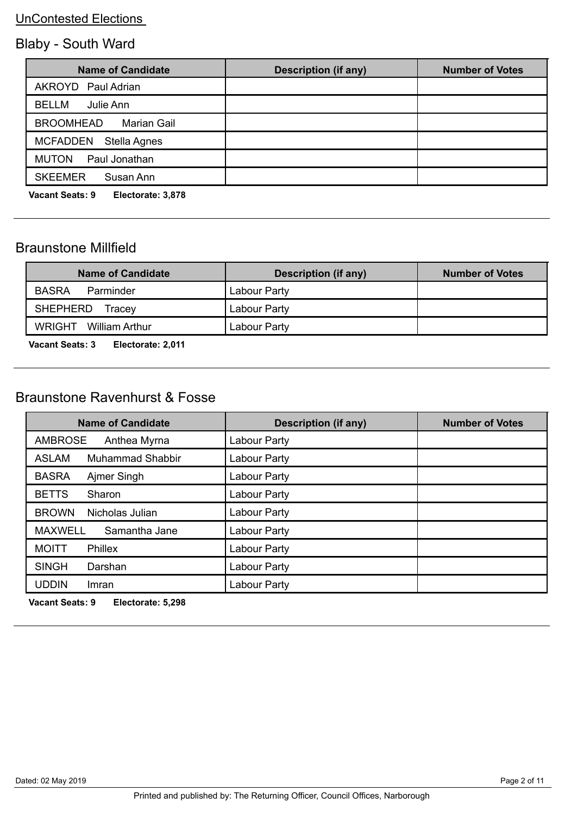# Blaby - South Ward

| <b>Name of Candidate</b>                    | <b>Description (if any)</b> | <b>Number of Votes</b> |
|---------------------------------------------|-----------------------------|------------------------|
| AKROYD Paul Adrian                          |                             |                        |
| <b>BELLM</b><br>Julie Ann                   |                             |                        |
| <b>BROOMHEAD</b><br>Marian Gail             |                             |                        |
| MCFADDEN Stella Agnes                       |                             |                        |
| <b>MUTON</b><br>Paul Jonathan               |                             |                        |
| <b>SKEEMER</b><br>Susan Ann                 |                             |                        |
| <b>Vacant Seats: 9</b><br>Electorate: 3,878 |                             |                        |

### Braunstone Millfield

| <b>Name of Candidate</b>                                                                                                                                                                                                          | <b>Description (if any)</b> | <b>Number of Votes</b> |
|-----------------------------------------------------------------------------------------------------------------------------------------------------------------------------------------------------------------------------------|-----------------------------|------------------------|
| <b>BASRA</b><br>Parminder                                                                                                                                                                                                         | Labour Party                |                        |
| <b>SHEPHERD</b><br>Tracev                                                                                                                                                                                                         | Labour Party                |                        |
| WRIGHT William Arthur                                                                                                                                                                                                             | Labour Party                |                        |
| $\mathbf{r}$ . The contract of the contract of the contract of the contract of the contract of the contract of the contract of the contract of the contract of the contract of the contract of the contract of the contract of th |                             |                        |

**Vacant Seats: 3 Electorate: 2,011** 

### Braunstone Ravenhurst & Fosse

| <b>Name of Candidate</b>                | <b>Description (if any)</b> | <b>Number of Votes</b> |
|-----------------------------------------|-----------------------------|------------------------|
| <b>AMBROSE</b><br>Anthea Myrna          | Labour Party                |                        |
| <b>Muhammad Shabbir</b><br><b>ASLAM</b> | Labour Party                |                        |
| <b>BASRA</b><br>Ajmer Singh             | Labour Party                |                        |
| <b>BETTS</b><br>Sharon                  | Labour Party                |                        |
| <b>BROWN</b><br>Nicholas Julian         | Labour Party                |                        |
| <b>MAXWELL</b><br>Samantha Jane         | Labour Party                |                        |
| <b>MOITT</b><br><b>Phillex</b>          | Labour Party                |                        |
| <b>SINGH</b><br>Darshan                 | Labour Party                |                        |
| <b>UDDIN</b><br>Imran                   | Labour Party                |                        |

**Vacant Seats: 9 Electorate: 5,298**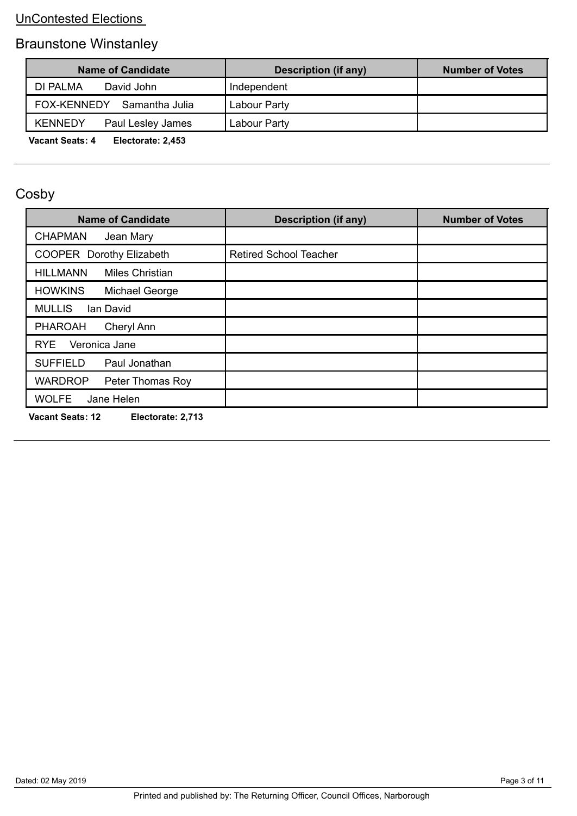# Braunstone Winstanley

| Name of Candidate                    | <b>Description (if any)</b> | <b>Number of Votes</b> |
|--------------------------------------|-----------------------------|------------------------|
| DI PALMA<br>David John               | Independent                 |                        |
| FOX-KENNEDY<br>Samantha Julia        | Labour Party                |                        |
| <b>KENNEDY</b><br>Paul Lesley James  | Labour Party                |                        |
| Vacant Soate: 1<br>Flactorata: 2.453 |                             |                        |

**Vacant Seats: 4 Electorate: 2,453** 

# Cosby

| <b>Name of Candidate</b>                     | <b>Description (if any)</b>   | <b>Number of Votes</b> |
|----------------------------------------------|-------------------------------|------------------------|
| <b>CHAPMAN</b><br>Jean Mary                  |                               |                        |
| <b>COOPER Dorothy Elizabeth</b>              | <b>Retired School Teacher</b> |                        |
| <b>HILLMANN</b><br><b>Miles Christian</b>    |                               |                        |
| <b>HOWKINS</b><br>Michael George             |                               |                        |
| <b>MULLIS</b><br>Ian David                   |                               |                        |
| <b>PHAROAH</b><br>Cheryl Ann                 |                               |                        |
| Veronica Jane<br><b>RYE</b>                  |                               |                        |
| <b>SUFFIELD</b><br>Paul Jonathan             |                               |                        |
| <b>WARDROP</b><br>Peter Thomas Roy           |                               |                        |
| <b>WOLFE</b><br>Jane Helen                   |                               |                        |
| <b>Vacant Seats: 12</b><br>Electorate: 2,713 |                               |                        |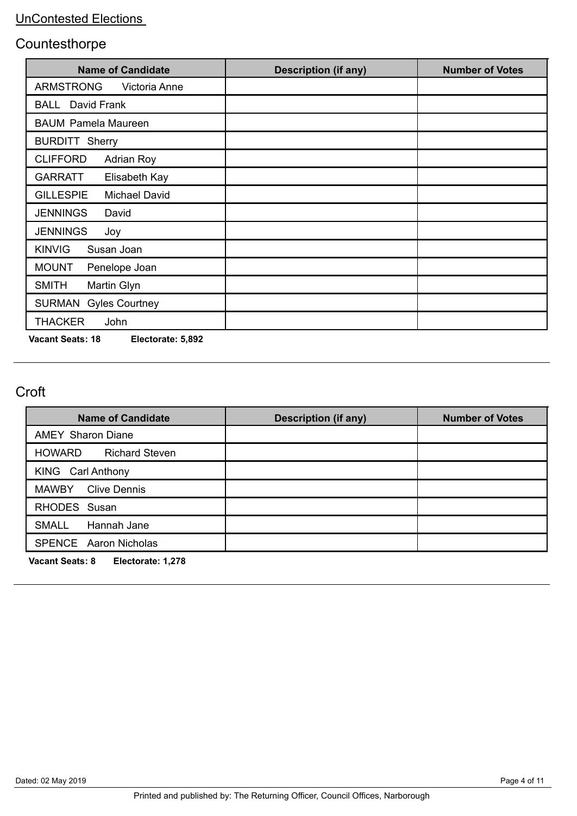### **Countesthorpe**

| <b>Name of Candidate</b>                 | <b>Description (if any)</b> | <b>Number of Votes</b> |
|------------------------------------------|-----------------------------|------------------------|
| <b>ARMSTRONG</b><br>Victoria Anne        |                             |                        |
| David Frank<br><b>BALL</b>               |                             |                        |
| <b>BAUM Pamela Maureen</b>               |                             |                        |
| <b>BURDITT Sherry</b>                    |                             |                        |
| <b>CLIFFORD</b><br><b>Adrian Roy</b>     |                             |                        |
| <b>GARRATT</b><br>Elisabeth Kay          |                             |                        |
| <b>GILLESPIE</b><br><b>Michael David</b> |                             |                        |
| <b>JENNINGS</b><br>David                 |                             |                        |
| <b>JENNINGS</b><br>Joy                   |                             |                        |
| <b>KINVIG</b><br>Susan Joan              |                             |                        |
| <b>MOUNT</b><br>Penelope Joan            |                             |                        |
| <b>SMITH</b><br>Martin Glyn              |                             |                        |
| <b>SURMAN</b><br><b>Gyles Courtney</b>   |                             |                        |
| <b>THACKER</b><br>John                   |                             |                        |

**Vacant Seats: 18 Electorate: 5,892** 

### Croft

| <b>Name of Candidate</b>                                                           | <b>Description (if any)</b> | <b>Number of Votes</b> |
|------------------------------------------------------------------------------------|-----------------------------|------------------------|
| <b>AMEY Sharon Diane</b>                                                           |                             |                        |
| <b>HOWARD</b><br><b>Richard Steven</b>                                             |                             |                        |
| KING Carl Anthony                                                                  |                             |                        |
| <b>MAWBY</b><br><b>Clive Dennis</b>                                                |                             |                        |
| RHODES Susan                                                                       |                             |                        |
| <b>SMALL</b><br>Hannah Jane                                                        |                             |                        |
| <b>SPENCE</b> Aaron Nicholas                                                       |                             |                        |
| $M_{\odot}$ and $\Omega_{\odot}$ and $\Omega_{\odot}$ . Fig. and and $\Lambda$ and |                             |                        |

**Vacant Seats: 8 Electorate: 1,278**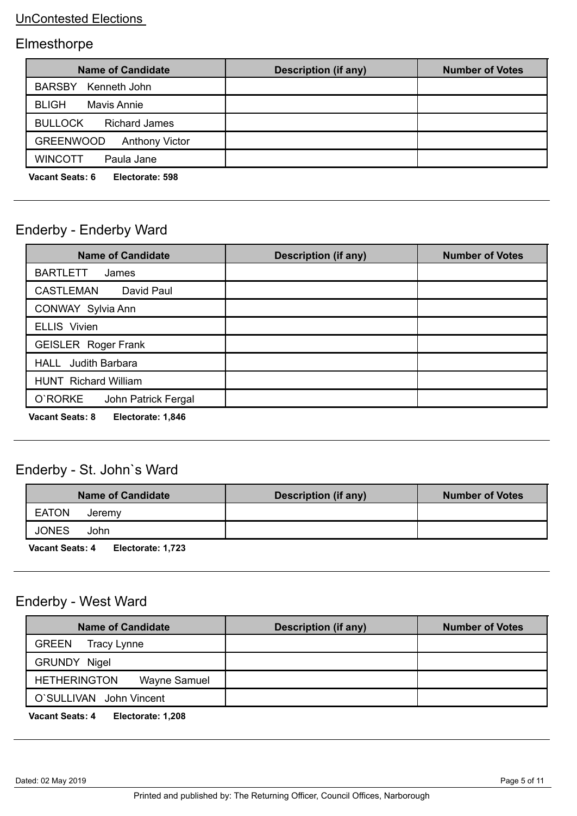# Elmesthorpe

| <b>Name of Candidate</b>                  | Description (if any) | <b>Number of Votes</b> |
|-------------------------------------------|----------------------|------------------------|
| BARSBY Kenneth John                       |                      |                        |
| <b>BLIGH</b><br><b>Mavis Annie</b>        |                      |                        |
| <b>BULLOCK</b><br><b>Richard James</b>    |                      |                        |
| <b>GREENWOOD</b><br><b>Anthony Victor</b> |                      |                        |
| <b>WINCOTT</b><br>Paula Jane              |                      |                        |
| Vacant Caato: C<br>Elactorato: E00        |                      |                        |

**Vacant Seats: 6 Electorate: 598** 

### Enderby - Enderby Ward

| <b>Name of Candidate</b>                    | <b>Description (if any)</b> | <b>Number of Votes</b> |
|---------------------------------------------|-----------------------------|------------------------|
| <b>BARTLETT</b><br>James                    |                             |                        |
| <b>CASTLEMAN</b><br>David Paul              |                             |                        |
| CONWAY Sylvia Ann                           |                             |                        |
| <b>ELLIS</b> Vivien                         |                             |                        |
| <b>GEISLER</b> Roger Frank                  |                             |                        |
| Judith Barbara<br>HALL                      |                             |                        |
| <b>HUNT</b> Richard William                 |                             |                        |
| O'RORKE<br>John Patrick Fergal              |                             |                        |
| <b>Vacant Seats: 8</b><br>Electorate: 1,846 |                             |                        |

### Enderby - St. John`s Ward

| <b>Name of Candidate</b>                    | <b>Description (if any)</b> | <b>Number of Votes</b> |
|---------------------------------------------|-----------------------------|------------------------|
| <b>EATON</b><br>Jeremy                      |                             |                        |
| <b>JONES</b><br>John                        |                             |                        |
| <b>Vacant Seats: 4</b><br>Electorate: 1,723 |                             |                        |

### Enderby - West Ward

| <b>Name of Candidate</b>            | <b>Description (if any)</b> | <b>Number of Votes</b> |
|-------------------------------------|-----------------------------|------------------------|
| <b>GREEN</b><br>Tracy Lynne         |                             |                        |
| <b>GRUNDY Nigel</b>                 |                             |                        |
| <b>HETHERINGTON</b><br>Wayne Samuel |                             |                        |
| O'SULLIVAN John Vincent             |                             |                        |
|                                     |                             |                        |

**Vacant Seats: 4 Electorate: 1,208**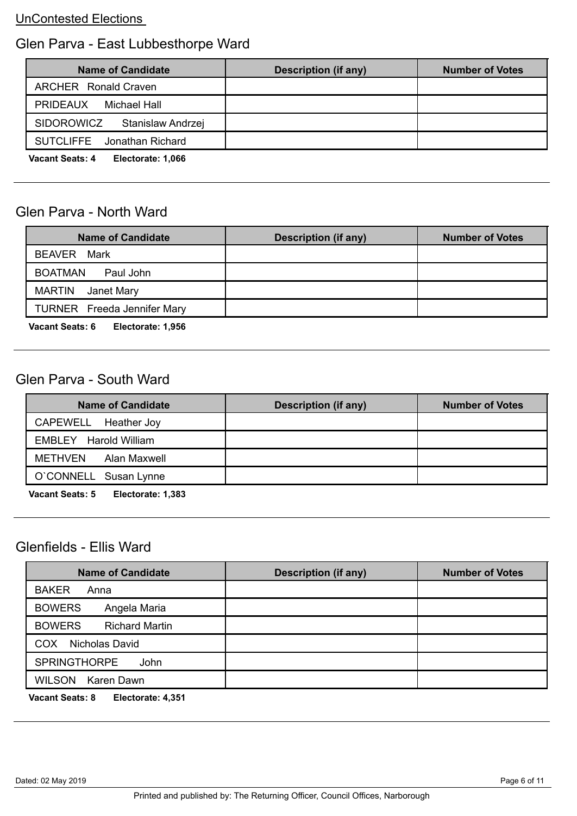### Glen Parva - East Lubbesthorpe Ward

| <b>Name of Candidate</b>                    | <b>Description (if any)</b> | <b>Number of Votes</b> |
|---------------------------------------------|-----------------------------|------------------------|
| <b>ARCHER</b> Ronald Craven                 |                             |                        |
| <b>PRIDEAUX</b><br>Michael Hall             |                             |                        |
| <b>SIDOROWICZ</b><br>Stanislaw Andrzej      |                             |                        |
| <b>SUTCLIFFE</b><br>Jonathan Richard        |                             |                        |
| <b>Vacant Seats: 4</b><br>Electorate: 1,066 |                             |                        |

#### Glen Parva - North Ward

| <b>Name of Candidate</b>           | Description (if any) | <b>Number of Votes</b> |
|------------------------------------|----------------------|------------------------|
| <b>BEAVER</b> Mark                 |                      |                        |
| <b>BOATMAN</b><br>Paul John        |                      |                        |
| <b>MARTIN</b><br>Janet Mary        |                      |                        |
| <b>TURNER</b> Freeda Jennifer Mary |                      |                        |
|                                    |                      |                        |

**Vacant Seats: 6 Electorate: 1,956** 

### Glen Parva - South Ward

| <b>Name of Candidate</b>      | Description (if any) | <b>Number of Votes</b> |
|-------------------------------|----------------------|------------------------|
| CAPEWELL Heather Joy          |                      |                        |
| <b>EMBLEY</b> Harold William  |                      |                        |
| METHVEN<br>Alan Maxwell       |                      |                        |
| O'CONNELL Susan Lynne         |                      |                        |
| $V = -1$<br>Flastaveta: 4.000 |                      |                        |

**Vacant Seats: 5 Electorate: 1,383** 

### Glenfields - Ellis Ward

| <b>Name of Candidate</b>               | <b>Description (if any)</b> | <b>Number of Votes</b> |
|----------------------------------------|-----------------------------|------------------------|
| <b>BAKER</b><br>Anna                   |                             |                        |
| <b>BOWERS</b><br>Angela Maria          |                             |                        |
| <b>BOWERS</b><br><b>Richard Martin</b> |                             |                        |
| Nicholas David<br>COX                  |                             |                        |
| <b>SPRINGTHORPE</b><br>John            |                             |                        |
| <b>WILSON</b><br>Karen Dawn            |                             |                        |
|                                        |                             |                        |

**Vacant Seats: 8 Electorate: 4,351**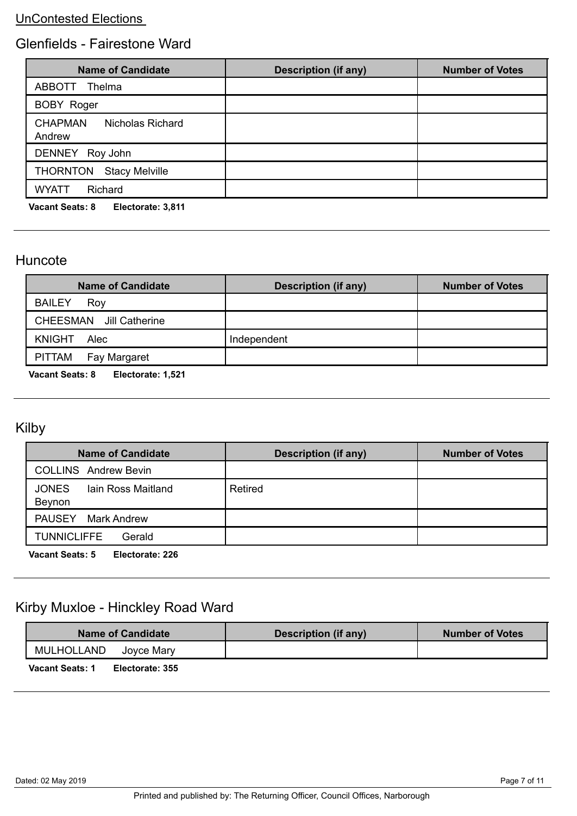### Glenfields - Fairestone Ward

| <b>Name of Candidate</b>                     | <b>Description (if any)</b> | <b>Number of Votes</b> |
|----------------------------------------------|-----------------------------|------------------------|
| ABBOTT<br>Thelma                             |                             |                        |
| <b>BOBY Roger</b>                            |                             |                        |
| <b>CHAPMAN</b><br>Nicholas Richard<br>Andrew |                             |                        |
| DENNEY Roy John                              |                             |                        |
| <b>THORNTON</b><br><b>Stacy Melville</b>     |                             |                        |
| <b>WYATT</b><br>Richard                      |                             |                        |
| <b>Vacant Seats: 8</b><br>Electorate: 3,811  |                             |                        |

#### Huncote

| <b>Name of Candidate</b>                                                         | Description (if any) | <b>Number of Votes</b> |
|----------------------------------------------------------------------------------|----------------------|------------------------|
| <b>BAILEY</b><br>Roy                                                             |                      |                        |
| CHEESMAN Jill Catherine                                                          |                      |                        |
| KNIGHT Alec                                                                      | Independent          |                        |
| PITTAM Fay Margaret                                                              |                      |                        |
| $M_{\odot}$ and $\Omega_{\odot}$ and $\Omega_{\odot}$ . Figure 1 and 1 FM $\sim$ |                      |                        |

**Vacant Seats: 8 Electorate: 1,521** 

# Kilby

| <b>Name of Candidate</b>                     | <b>Description (if any)</b> | <b>Number of Votes</b> |
|----------------------------------------------|-----------------------------|------------------------|
| <b>COLLINS</b> Andrew Bevin                  |                             |                        |
| <b>JONES</b><br>lain Ross Maitland<br>Beynon | Retired                     |                        |
| PAUSEY Mark Andrew                           |                             |                        |
| <b>TUNNICLIFFE</b><br>Gerald                 |                             |                        |
| <b>Vacant Seats: 5</b><br>Electorate: 226    |                             |                        |

# Kirby Muxloe - Hinckley Road Ward

| <b>Name of Candidate</b>                  | Description (if any) | <b>Number of Votes</b> |
|-------------------------------------------|----------------------|------------------------|
| MULHOLLAND<br>Jovce Marv                  |                      |                        |
| <b>Vacant Seats: 1</b><br>Electorate: 355 |                      |                        |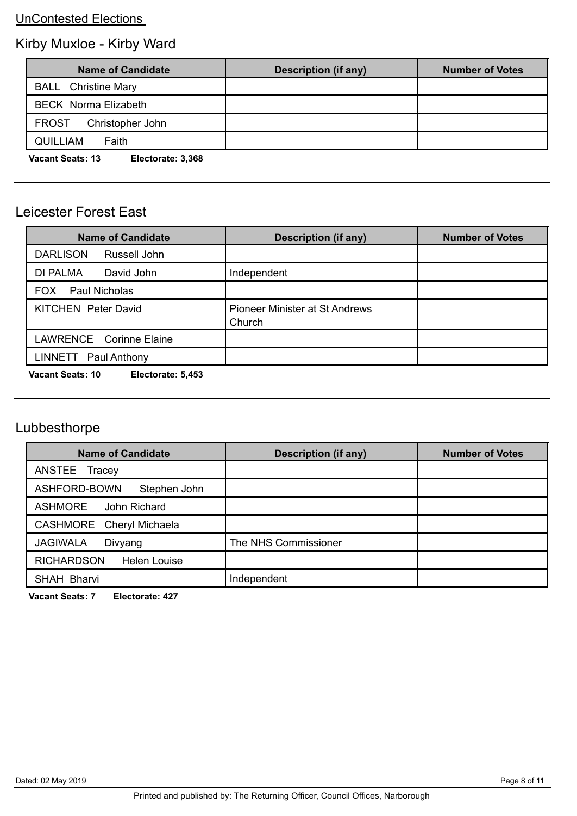# Kirby Muxloe - Kirby Ward

| <b>Name of Candidate</b>                     | <b>Description (if any)</b> | <b>Number of Votes</b> |
|----------------------------------------------|-----------------------------|------------------------|
| <b>BALL</b> Christine Mary                   |                             |                        |
| <b>BECK</b> Norma Elizabeth                  |                             |                        |
| Christopher John<br><b>FROST</b>             |                             |                        |
| <b>QUILLIAM</b><br>Faith                     |                             |                        |
| <b>Vacant Seats: 13</b><br>Electorate: 3,368 |                             |                        |

### Leicester Forest East

| <b>Description (if any)</b>                     | <b>Number of Votes</b> |
|-------------------------------------------------|------------------------|
|                                                 |                        |
| Independent                                     |                        |
|                                                 |                        |
| <b>Pioneer Minister at St Andrews</b><br>Church |                        |
|                                                 |                        |
|                                                 |                        |
|                                                 |                        |

**Vacant Seats: 10 Electorate: 5,453** 

# Lubbesthorpe

| <b>Name of Candidate</b>                 | <b>Description (if any)</b> | <b>Number of Votes</b> |
|------------------------------------------|-----------------------------|------------------------|
| ANSTEE<br>Tracey                         |                             |                        |
| ASHFORD-BOWN<br>Stephen John             |                             |                        |
| <b>ASHMORE</b><br>John Richard           |                             |                        |
| CASHMORE Cheryl Michaela                 |                             |                        |
| <b>JAGIWALA</b><br>Divyang               | The NHS Commissioner        |                        |
| <b>RICHARDSON</b><br><b>Helen Louise</b> |                             |                        |
| SHAH Bharvi                              | Independent                 |                        |

**Vacant Seats: 7 Electorate: 427**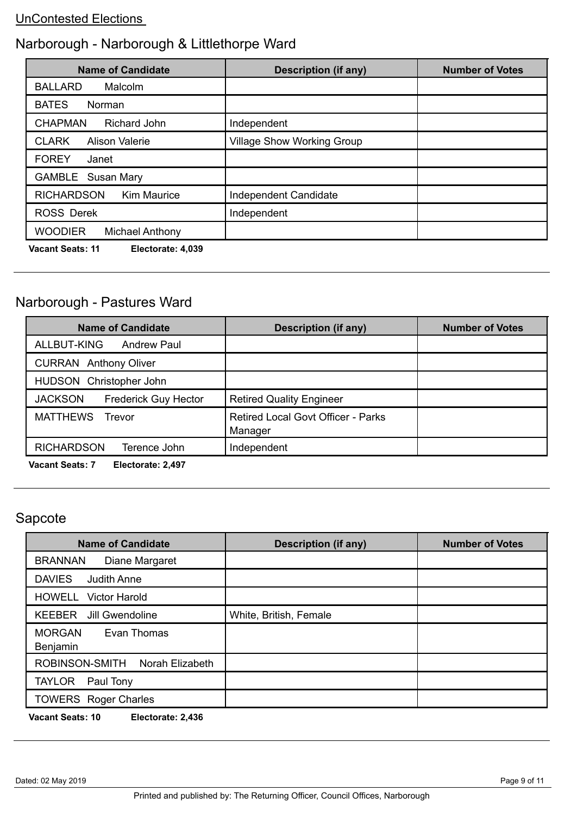# Narborough - Narborough & Littlethorpe Ward

| <b>Name of Candidate</b>                     | <b>Description (if any)</b>       | <b>Number of Votes</b> |
|----------------------------------------------|-----------------------------------|------------------------|
| <b>BALLARD</b><br>Malcolm                    |                                   |                        |
| <b>BATES</b><br>Norman                       |                                   |                        |
| <b>CHAPMAN</b><br><b>Richard John</b>        | Independent                       |                        |
| <b>Alison Valerie</b><br><b>CLARK</b>        | <b>Village Show Working Group</b> |                        |
| <b>FOREY</b><br>Janet                        |                                   |                        |
| <b>GAMBLE</b> Susan Mary                     |                                   |                        |
| <b>RICHARDSON</b><br><b>Kim Maurice</b>      | Independent Candidate             |                        |
| <b>ROSS Derek</b>                            | Independent                       |                        |
| <b>WOODIER</b><br><b>Michael Anthony</b>     |                                   |                        |
| <b>Vacant Seats: 11</b><br>Electorate: 4,039 |                                   |                        |

# Narborough - Pastures Ward

| <b>Name of Candidate</b>                      | <b>Description (if any)</b>                          | <b>Number of Votes</b> |
|-----------------------------------------------|------------------------------------------------------|------------------------|
| ALLBUT-KING<br><b>Andrew Paul</b>             |                                                      |                        |
| <b>CURRAN</b> Anthony Oliver                  |                                                      |                        |
| HUDSON Christopher John                       |                                                      |                        |
| <b>JACKSON</b><br><b>Frederick Guy Hector</b> | <b>Retired Quality Engineer</b>                      |                        |
| <b>MATTHEWS</b><br>Trevor                     | <b>Retired Local Govt Officer - Parks</b><br>Manager |                        |
| <b>RICHARDSON</b><br>Terence John             | Independent                                          |                        |
|                                               |                                                      |                        |

**Vacant Seats: 7 Electorate: 2,497** 

### Sapcote

| <b>Name of Candidate</b>                 | <b>Description (if any)</b> | <b>Number of Votes</b> |
|------------------------------------------|-----------------------------|------------------------|
| <b>BRANNAN</b><br>Diane Margaret         |                             |                        |
| <b>DAVIES</b><br><b>Judith Anne</b>      |                             |                        |
| <b>HOWELL</b> Victor Harold              |                             |                        |
| <b>KEEBER</b><br>Jill Gwendoline         | White, British, Female      |                        |
| <b>MORGAN</b><br>Evan Thomas<br>Benjamin |                             |                        |
| ROBINSON-SMITH<br>Norah Elizabeth        |                             |                        |
| <b>TAYLOR</b><br>Paul Tony               |                             |                        |
| <b>TOWERS</b> Roger Charles              |                             |                        |

**Vacant Seats: 10 Electorate: 2,436**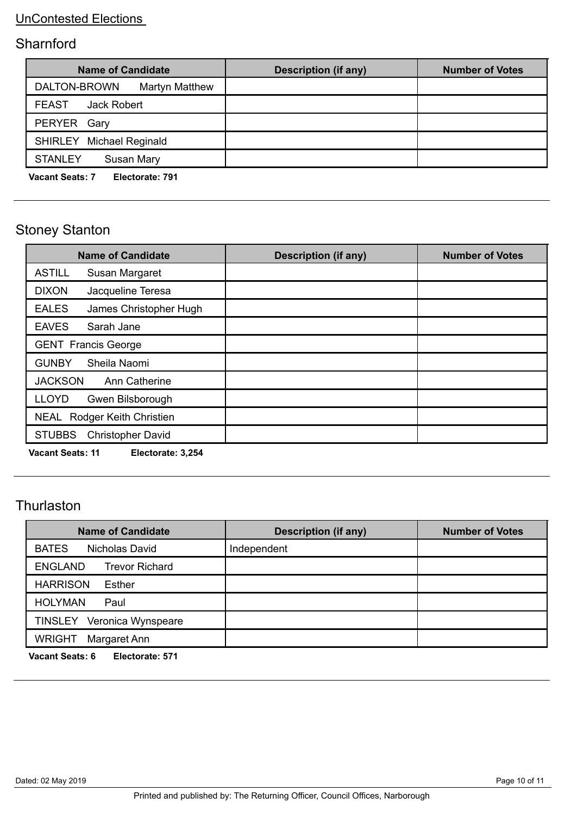### **Sharnford**

| <b>Name of Candidate</b>                  | Description (if any) | <b>Number of Votes</b> |
|-------------------------------------------|----------------------|------------------------|
| <b>Martyn Matthew</b><br>DALTON-BROWN     |                      |                        |
| <b>FEAST</b><br>Jack Robert               |                      |                        |
| PERYER Gary                               |                      |                        |
| <b>SHIRLEY</b> Michael Reginald           |                      |                        |
| <b>STANLEY</b><br><b>Susan Mary</b>       |                      |                        |
| <b>Vacant Seats: 7</b><br>Electorate: 791 |                      |                        |

# Stoney Stanton

| <b>Name of Candidate</b>                   | <b>Description (if any)</b> | <b>Number of Votes</b> |
|--------------------------------------------|-----------------------------|------------------------|
| <b>ASTILL</b><br>Susan Margaret            |                             |                        |
| <b>DIXON</b><br>Jacqueline Teresa          |                             |                        |
| <b>EALES</b><br>James Christopher Hugh     |                             |                        |
| <b>EAVES</b><br>Sarah Jane                 |                             |                        |
| <b>GENT Francis George</b>                 |                             |                        |
| Sheila Naomi<br><b>GUNBY</b>               |                             |                        |
| <b>JACKSON</b><br>Ann Catherine            |                             |                        |
| <b>LLOYD</b><br>Gwen Bilsborough           |                             |                        |
| NEAL Rodger Keith Christien                |                             |                        |
| <b>STUBBS</b><br><b>Christopher David</b>  |                             |                        |
| Vacant Coote: 11<br>$E$ laatarata: $2.254$ |                             |                        |

**Vacant Seats: 11 Electorate: 3,254** 

### **Thurlaston**

| <b>Name of Candidate</b>                  | <b>Description (if any)</b> | <b>Number of Votes</b> |
|-------------------------------------------|-----------------------------|------------------------|
| <b>BATES</b><br>Nicholas David            | Independent                 |                        |
| <b>ENGLAND</b><br><b>Trevor Richard</b>   |                             |                        |
| <b>HARRISON</b><br>Esther                 |                             |                        |
| <b>HOLYMAN</b><br>Paul                    |                             |                        |
| TINSLEY Veronica Wynspeare                |                             |                        |
| Margaret Ann<br><b>WRIGHT</b>             |                             |                        |
| <b>Vacant Seats: 6</b><br>Electorate: 571 |                             |                        |